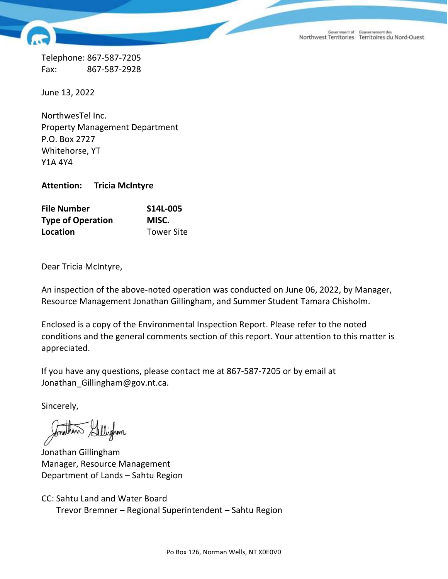Government of Gouvernement des<br>Northwest Territories Territoires du Nord-Ouest

Telephone: 867-587-7205 Fax: 867-587-2928

June 13, 2022

NorthwesTel Inc. Property Management Department P.O. Box 2727 Whitehorse, YT Y1A 4Y4

**Attention: Tricia McIntyre**

| <b>File Number</b>       | S14L-005          |
|--------------------------|-------------------|
| <b>Type of Operation</b> | MISC.             |
| Location                 | <b>Tower Site</b> |

Dear Tricia McIntyre,

An inspection of the above-noted operation was conducted on June 06, 2022, by Manager, Resource Management Jonathan Gillingham, and Summer Student Tamara Chisholm.

Enclosed is a copy of the Environmental Inspection Report. Please refer to the noted conditions and the general comments section of this report. Your attention to this matter is appreciated.

If you have any questions, please contact me at 867-587-7205 or by email at Jonathan\_Gillingham@gov.nt.ca.

Sincerely,

Windren

Jonathan Gillingham Manager, Resource Management Department of Lands – Sahtu Region

CC: Sahtu Land and Water Board Trevor Bremner – Regional Superintendent – Sahtu Region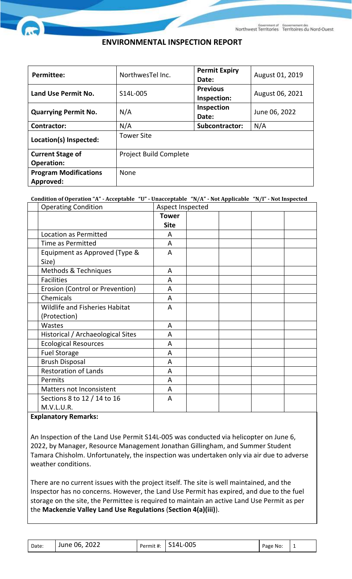# **ENVIRONMENTAL INSPECTION REPORT**

| <b>Permittee:</b>            | NorthwesTellnc.               | <b>Permit Expiry</b><br>Date:  | August 01, 2019 |  |
|------------------------------|-------------------------------|--------------------------------|-----------------|--|
| Land Use Permit No.          | S14L-005                      | <b>Previous</b><br>Inspection: | August 06, 2021 |  |
| <b>Quarrying Permit No.</b>  | N/A                           | Inspection<br>Date:            | June 06, 2022   |  |
| <b>Contractor:</b>           | N/A                           | <b>Subcontractor:</b>          | N/A             |  |
| Location(s) Inspected:       | <b>Tower Site</b>             |                                |                 |  |
| <b>Current Stage of</b>      | <b>Project Build Complete</b> |                                |                 |  |
| <b>Operation:</b>            |                               |                                |                 |  |
| <b>Program Modifications</b> | None                          |                                |                 |  |
| Approved:                    |                               |                                |                 |  |

**Condition of Operation "A" - Acceptable "U" - Unacceptable "N/A" - Not Applicable "N/I" - Not Inspected**

| <b>Operating Condition</b>            | Aspect Inspected |  |  |  |  |
|---------------------------------------|------------------|--|--|--|--|
|                                       | <b>Tower</b>     |  |  |  |  |
|                                       | <b>Site</b>      |  |  |  |  |
| Location as Permitted                 | A                |  |  |  |  |
| Time as Permitted                     | A                |  |  |  |  |
| Equipment as Approved (Type &         | A                |  |  |  |  |
| Size)                                 |                  |  |  |  |  |
| Methods & Techniques                  | A                |  |  |  |  |
| <b>Facilities</b>                     | A                |  |  |  |  |
| Erosion (Control or Prevention)       | A                |  |  |  |  |
| Chemicals                             | A                |  |  |  |  |
| <b>Wildlife and Fisheries Habitat</b> | A                |  |  |  |  |
| (Protection)                          |                  |  |  |  |  |
| Wastes                                | A                |  |  |  |  |
| Historical / Archaeological Sites     | A                |  |  |  |  |
| <b>Ecological Resources</b>           | A                |  |  |  |  |
| <b>Fuel Storage</b>                   | A                |  |  |  |  |
| <b>Brush Disposal</b>                 | A                |  |  |  |  |
| <b>Restoration of Lands</b>           | A                |  |  |  |  |
| Permits                               | A                |  |  |  |  |
| Matters not Inconsistent              | A                |  |  |  |  |
| Sections 8 to 12 / 14 to 16           | A                |  |  |  |  |
| M.V.L.U.R.                            |                  |  |  |  |  |

### **Explanatory Remarks:**

An Inspection of the Land Use Permit S14L-005 was conducted via helicopter on June 6, 2022, by Manager, Resource Management Jonathan Gillingham, and Summer Student Tamara Chisholm. Unfortunately, the inspection was undertaken only via air due to adverse weather conditions.

There are no current issues with the project itself. The site is well maintained, and the Inspector has no concerns. However, the Land Use Permit has expired, and due to the fuel storage on the site, the Permittee is required to maintain an active Land Use Permit as per the **Mackenzie Valley Land Use Regulations** (**Section 4(a)(iii)**).

| Date: | June 06, 2022 | Permit #: | S14L-005 | Page No: |  |  |
|-------|---------------|-----------|----------|----------|--|--|
|-------|---------------|-----------|----------|----------|--|--|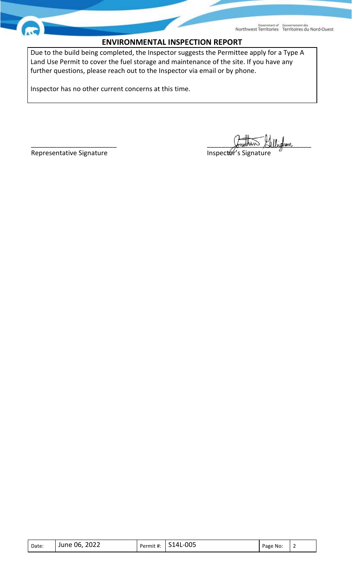## **ENVIRONMENTAL INSPECTION REPORT**

Due to the build being completed, the Inspector suggests the Permittee apply for a Type A Land Use Permit to cover the fuel storage and maintenance of the site. If you have any further questions, please reach out to the Inspector via email or by phone.

Inspector has no other current concerns at this time.

 $\mathscr{L}$  the set of  $\mathscr{L}$  and  $\mathscr{L}$  and  $\mathscr{L}$  and  $\mathscr{L}$  and  $\mathscr{L}$  and  $\mathscr{L}$  and  $\mathscr{L}$  and  $\mathscr{L}$  are  $\mathscr{L}$  and  $\mathscr{L}$  and  $\mathscr{L}$  are  $\mathscr{L}$  and  $\mathscr{L}$  are  $\mathscr{L}$  and  $\mathscr{L}$  are  $\mathscr{L$ 

Representative Signature **Inspector's Signature** Inspector's Signature

| Date: | June 06, 2022 | Permit #: | S14L-005 | Page No: | - |
|-------|---------------|-----------|----------|----------|---|
|-------|---------------|-----------|----------|----------|---|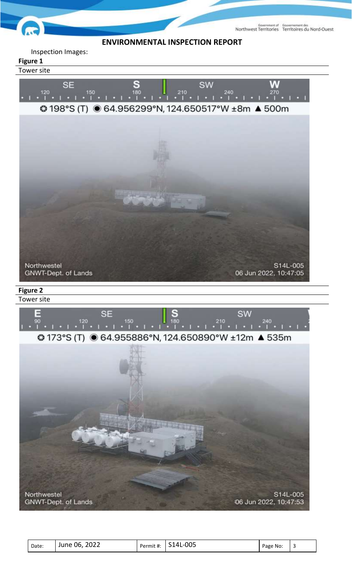

### Inspection Images:

### **Figure 1**

Tower site





| Date: | 2022<br>June 06, | Permit #: | S14L-005 | Page No: |  |
|-------|------------------|-----------|----------|----------|--|
|-------|------------------|-----------|----------|----------|--|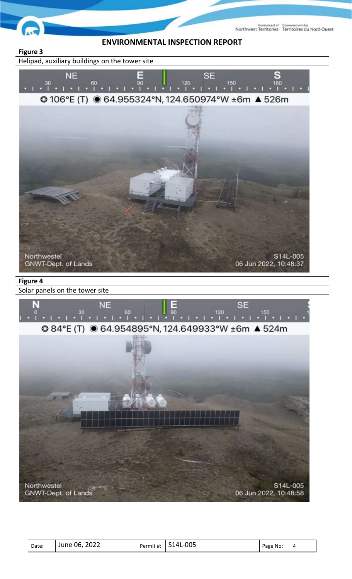



Helipad, auxiliary buildings on the tower site



| Date: | 2022<br>O6<br>June | Permit #: | -005<br>$\Lambda'$ | Page No: | Δ |
|-------|--------------------|-----------|--------------------|----------|---|